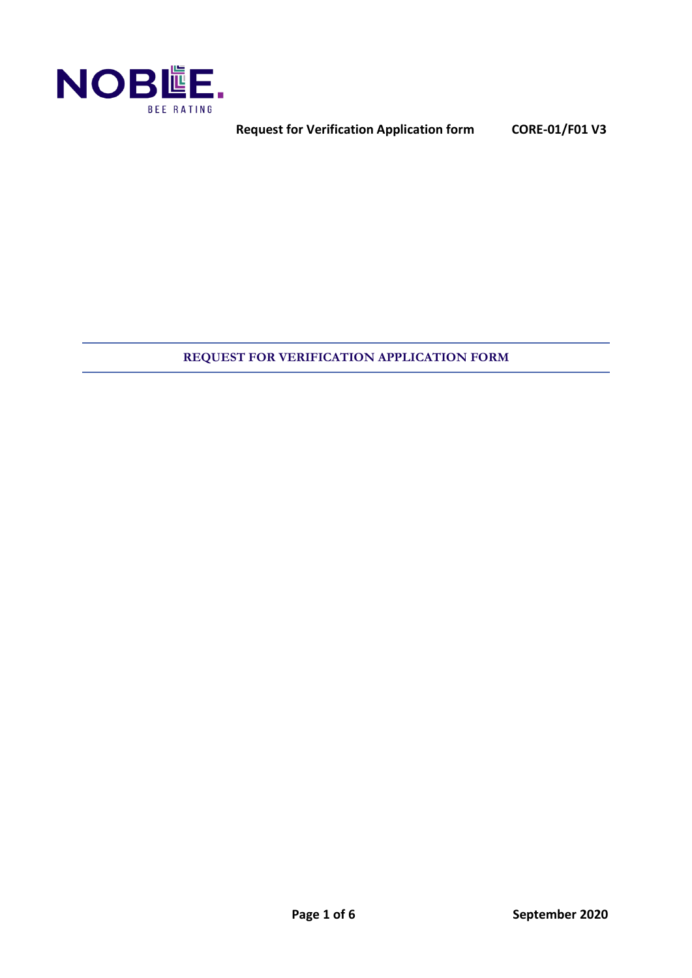

**Request for Verification Application form CORE-01/F01 V3**

## **REQUEST FOR VERIFICATION APPLICATION FORM**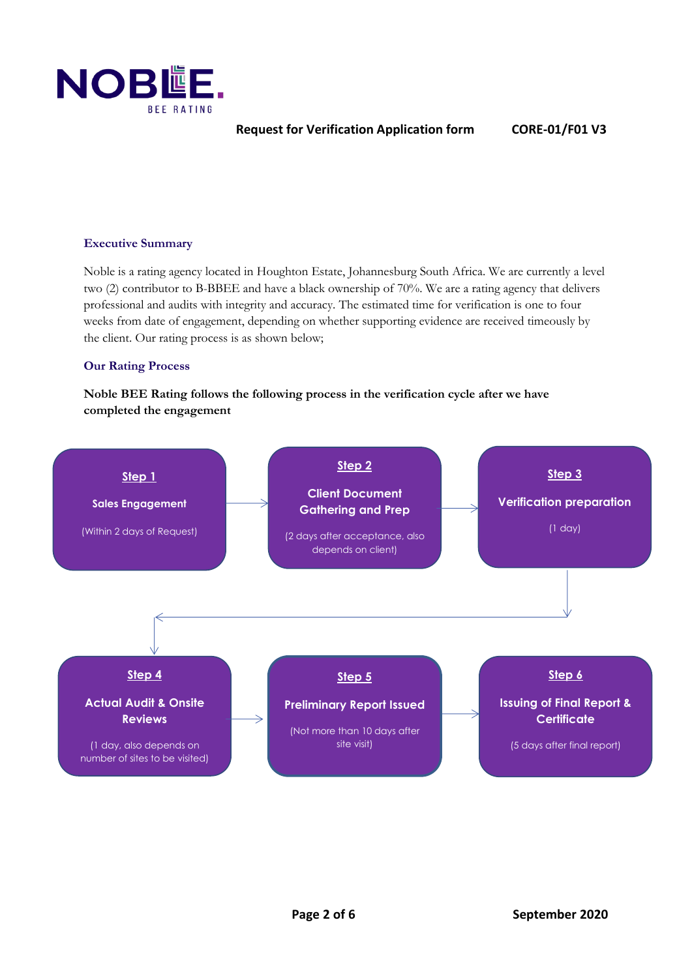

### **Executive Summary**

Noble is a rating agency located in Houghton Estate, Johannesburg South Africa. We are currently a level two (2) contributor to B-BBEE and have a black ownership of 70%. We are a rating agency that delivers professional and audits with integrity and accuracy. The estimated time for verification is one to four weeks from date of engagement, depending on whether supporting evidence are received timeously by the client. Our rating process is as shown below;

#### **Our Rating Process**

**Noble BEE Rating follows the following process in the verification cycle after we have completed the engagement**

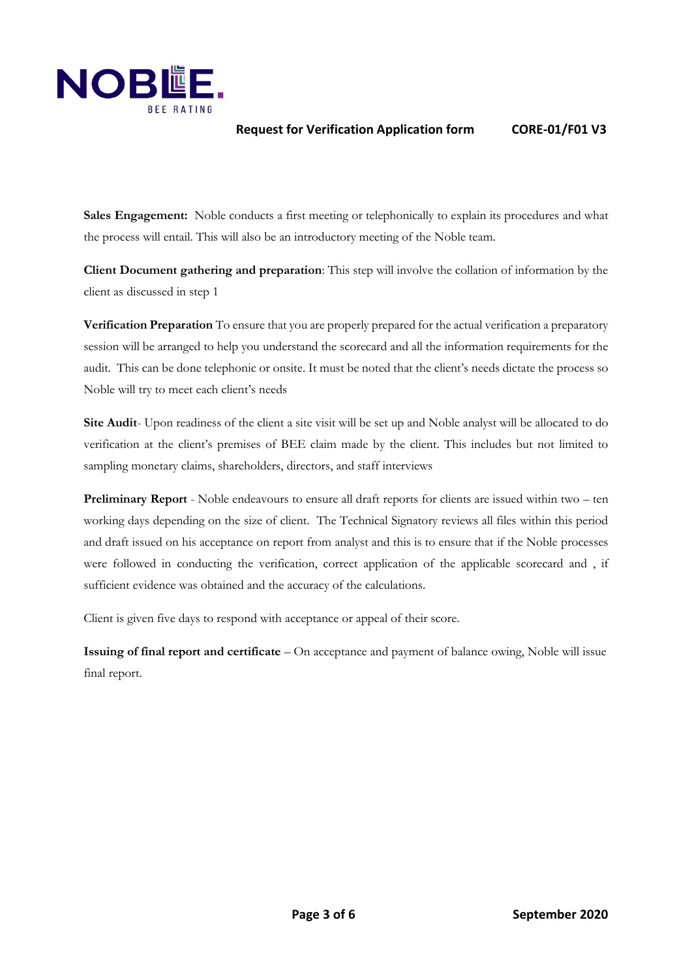

### **Request for Verification Application form CORE-01/F01 V3**

Sales Engagement: Noble conducts a first meeting or telephonically to explain its procedures and what the process will entail. This will also be an introductory meeting of the Noble team.

**Client Document gathering and preparation**: This step will involve the collation of information by the client as discussed in step 1

**Verification Preparation** To ensure that you are properly prepared for the actual verification a preparatory session will be arranged to help you understand the scorecard and all the information requirements for the audit. This can be done telephonic or onsite. It must be noted that the client's needs dictate the process so Noble will try to meet each client's needs

**Site Audit**- Upon readiness of the client a site visit will be set up and Noble analyst will be allocated to do verification at the client's premises of BEE claim made by the client. This includes but not limited to sampling monetary claims, shareholders, directors, and staff interviews

**Preliminary Report** - Noble endeavours to ensure all draft reports for clients are issued within two – ten working days depending on the size of client. The Technical Signatory reviews all files within this period and draft issued on his acceptance on report from analyst and this is to ensure that if the Noble processes were followed in conducting the verification, correct application of the applicable scorecard and , if sufficient evidence was obtained and the accuracy of the calculations.

Client is given five days to respond with acceptance or appeal of their score.

**Issuing of final report and certificate** – On acceptance and payment of balance owing, Noble will issue final report.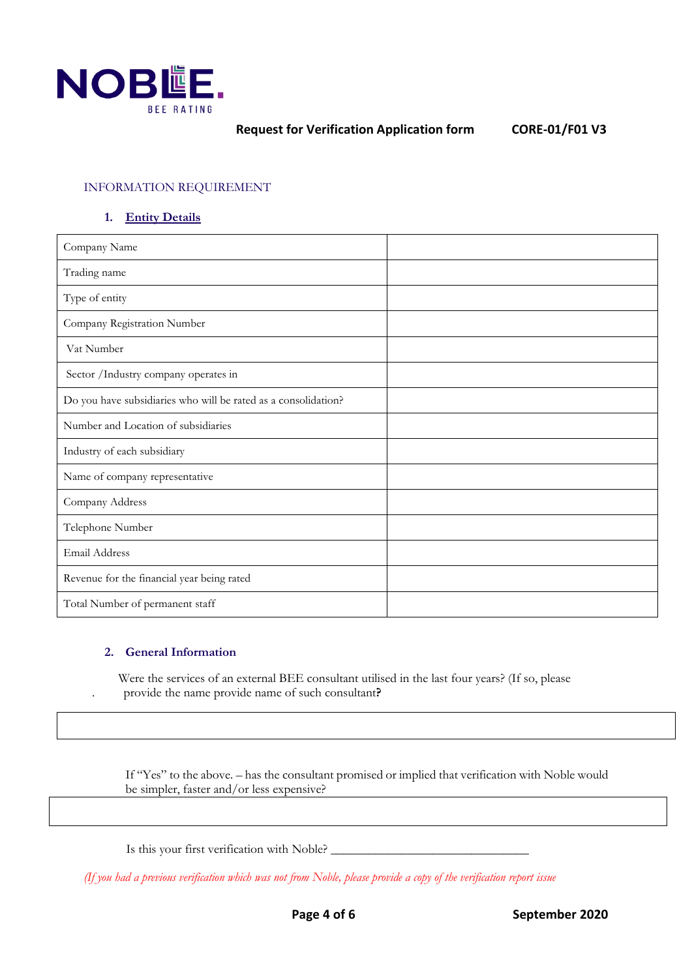

### INFORMATION REQUIREMENT

### **1. Entity Details**

| Company Name                                                   |  |
|----------------------------------------------------------------|--|
| Trading name                                                   |  |
| Type of entity                                                 |  |
| Company Registration Number                                    |  |
| Vat Number                                                     |  |
| Sector / Industry company operates in                          |  |
| Do you have subsidiaries who will be rated as a consolidation? |  |
| Number and Location of subsidiaries                            |  |
| Industry of each subsidiary                                    |  |
| Name of company representative                                 |  |
| Company Address                                                |  |
| Telephone Number                                               |  |
| Email Address                                                  |  |
| Revenue for the financial year being rated                     |  |
| Total Number of permanent staff                                |  |

#### **2. General Information**

 Were the services of an external BEE consultant utilised in the last four years? (If so, please . provide the name provide name of such consultant**?**

If "Yes" to the above. – has the consultant promised or implied that verification with Noble would be simpler, faster and/or less expensive?

Is this your first verification with Noble? \_\_\_\_\_\_\_\_\_\_\_\_\_\_\_\_\_\_\_\_\_\_\_\_\_\_\_\_\_\_\_

*(If you had a previous verification which was not from Noble, please provide a copy of the verification report issue*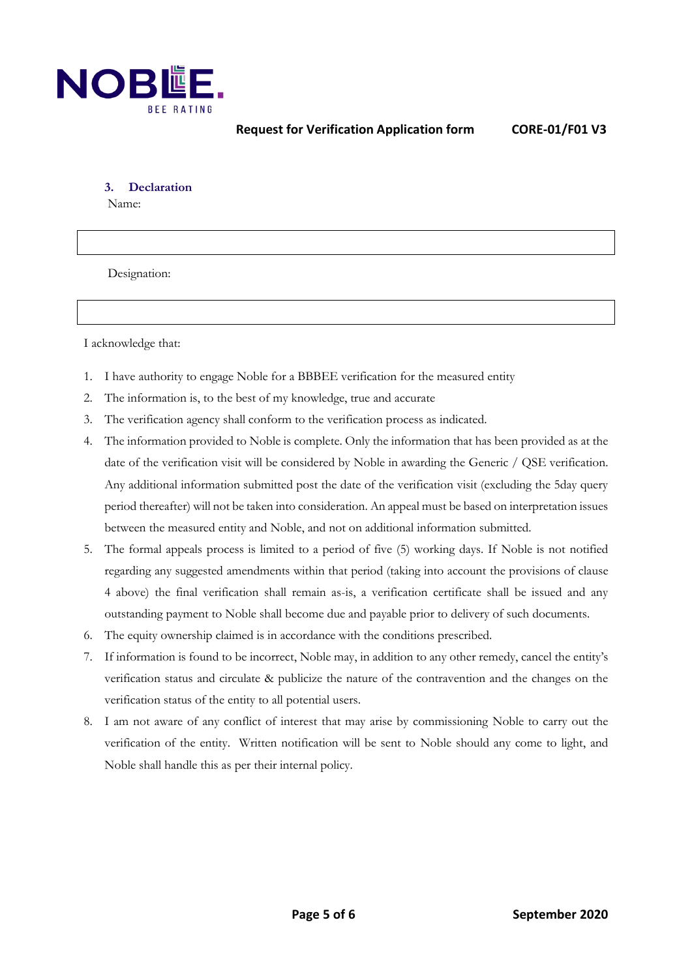

**3. Declaration**

Name:

Designation:

I acknowledge that:

- 1. I have authority to engage Noble for a BBBEE verification for the measured entity
- 2. The information is, to the best of my knowledge, true and accurate
- 3. The verification agency shall conform to the verification process as indicated.
- 4. The information provided to Noble is complete. Only the information that has been provided as at the date of the verification visit will be considered by Noble in awarding the Generic / QSE verification. Any additional information submitted post the date of the verification visit (excluding the 5day query period thereafter) will not be taken into consideration. An appeal must be based on interpretation issues between the measured entity and Noble, and not on additional information submitted.
- 5. The formal appeals process is limited to a period of five (5) working days. If Noble is not notified regarding any suggested amendments within that period (taking into account the provisions of clause 4 above) the final verification shall remain as-is, a verification certificate shall be issued and any outstanding payment to Noble shall become due and payable prior to delivery of such documents.
- 6. The equity ownership claimed is in accordance with the conditions prescribed.
- 7. If information is found to be incorrect, Noble may, in addition to any other remedy, cancel the entity's verification status and circulate & publicize the nature of the contravention and the changes on the verification status of the entity to all potential users.
- 8. I am not aware of any conflict of interest that may arise by commissioning Noble to carry out the verification of the entity. Written notification will be sent to Noble should any come to light, and Noble shall handle this as per their internal policy.